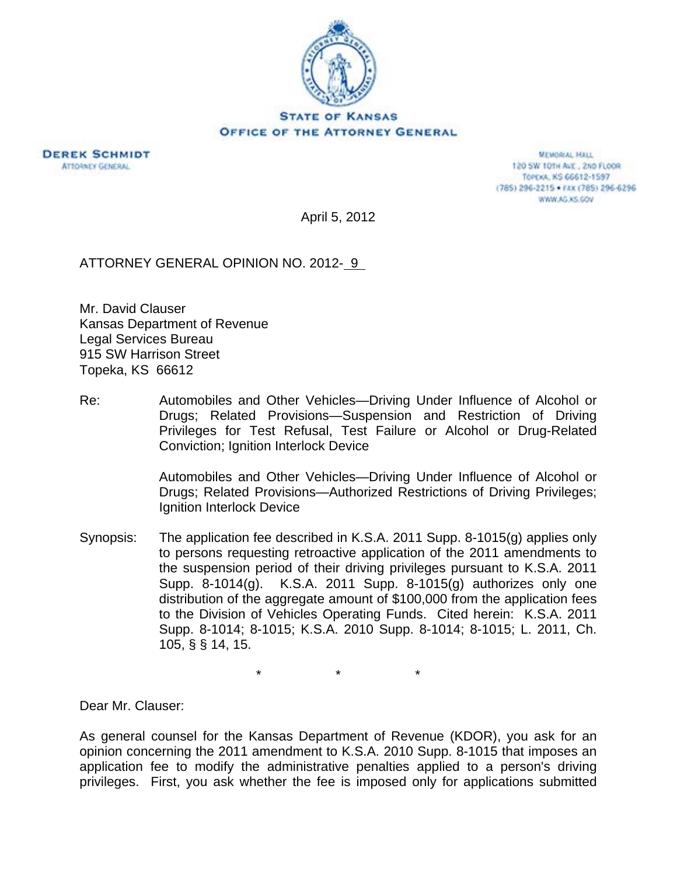

**DEREK SCHMIDT ATTORNEY GENERAL** 

**MEMORIAL HALL** 120 SW 101H AVE., 2ND FLOOR TOPEXA, KS 66612-1597 (785) 296-2215 · FAX (785) 296-6296 WWW.AG.XS.COV

April 5, 2012

ATTORNEY GENERAL OPINION NO. 2012- 9

Mr. David Clauser Kansas Department of Revenue Legal Services Bureau 915 SW Harrison Street Topeka, KS 66612

Re: Automobiles and Other Vehicles—Driving Under Influence of Alcohol or Drugs; Related Provisions—Suspension and Restriction of Driving Privileges for Test Refusal, Test Failure or Alcohol or Drug-Related Conviction; Ignition Interlock Device

> Automobiles and Other Vehicles—Driving Under Influence of Alcohol or Drugs; Related Provisions—Authorized Restrictions of Driving Privileges; Ignition Interlock Device

Synopsis: The application fee described in K.S.A. 2011 Supp. 8-1015(g) applies only to persons requesting retroactive application of the 2011 amendments to the suspension period of their driving privileges pursuant to K.S.A. 2011 Supp. 8-1014(g). K.S.A. 2011 Supp. 8-1015(g) authorizes only one distribution of the aggregate amount of \$100,000 from the application fees to the Division of Vehicles Operating Funds. Cited herein: K.S.A. 2011 Supp. 8-1014; 8-1015; K.S.A. 2010 Supp. 8-1014; 8-1015; L. 2011, Ch. 105, § § 14, 15.

\* \* \*

Dear Mr. Clauser:

As general counsel for the Kansas Department of Revenue (KDOR), you ask for an opinion concerning the 2011 amendment to K.S.A. 2010 Supp. 8-1015 that imposes an application fee to modify the administrative penalties applied to a person's driving privileges. First, you ask whether the fee is imposed only for applications submitted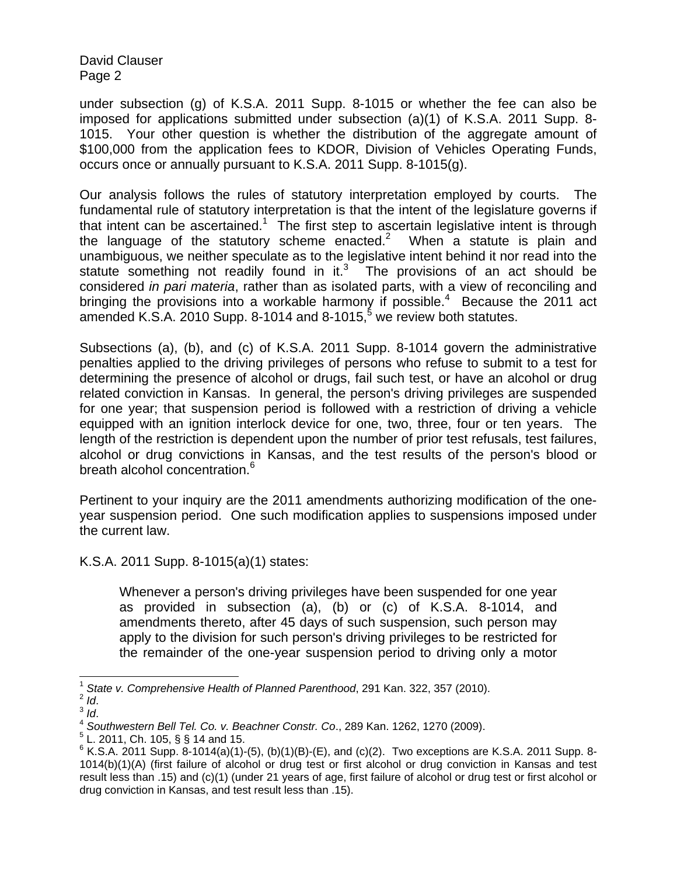under subsection (g) of K.S.A. 2011 Supp. 8-1015 or whether the fee can also be imposed for applications submitted under subsection (a)(1) of K.S.A. 2011 Supp. 8- 1015. Your other question is whether the distribution of the aggregate amount of \$100,000 from the application fees to KDOR, Division of Vehicles Operating Funds, occurs once or annually pursuant to K.S.A. 2011 Supp. 8-1015(g).

Our analysis follows the rules of statutory interpretation employed by courts. The fundamental rule of statutory interpretation is that the intent of the legislature governs if that intent can be ascertained.<sup>1</sup> The first step to ascertain legislative intent is through the language of the statutory scheme enacted.<sup>2</sup> When a statute is plain and unambiguous, we neither speculate as to the legislative intent behind it nor read into the statute something not readily found in it. $3$  The provisions of an act should be considered *in pari materia*, rather than as isolated parts, with a view of reconciling and bringing the provisions into a workable harmony if possible. $4$  Because the 2011 act amended K.S.A. 2010 Supp. 8-1014 and 8-1015, $^5$  we review both statutes.

Subsections (a), (b), and (c) of K.S.A. 2011 Supp. 8-1014 govern the administrative penalties applied to the driving privileges of persons who refuse to submit to a test for determining the presence of alcohol or drugs, fail such test, or have an alcohol or drug related conviction in Kansas. In general, the person's driving privileges are suspended for one year; that suspension period is followed with a restriction of driving a vehicle equipped with an ignition interlock device for one, two, three, four or ten years. The length of the restriction is dependent upon the number of prior test refusals, test failures, alcohol or drug convictions in Kansas, and the test results of the person's blood or breath alcohol concentration.<sup>6</sup>

Pertinent to your inquiry are the 2011 amendments authorizing modification of the oneyear suspension period. One such modification applies to suspensions imposed under the current law.

K.S.A. 2011 Supp. 8-1015(a)(1) states:

Whenever a person's driving privileges have been suspended for one year as provided in subsection (a), (b) or (c) of K.S.A. 8-1014, and amendments thereto, after 45 days of such suspension, such person may apply to the division for such person's driving privileges to be restricted for the remainder of the one-year suspension period to driving only a motor

l <sup>1</sup> State v. Comprehensive Health of Planned Parenthood, 291 Kan. 322, 357 (2010).<br><sup>2</sup> *Id.* 3 *Id.* 3 *Id.* 3 *Id.* 3 *Id.* 3 *Id.* 4 *Southwestern Bell Tel. Co. v. Beachner Constr. Co., 289 Kan. 1262, 1270 (2009).* 

 $5$  L. 2011, Ch. 105, § § 14 and 15.

 $6$  K.S.A. 2011 Supp. 8-1014(a)(1)-(5), (b)(1)(B)-(E), and (c)(2). Two exceptions are K.S.A. 2011 Supp. 8-1014(b)(1)(A) (first failure of alcohol or drug test or first alcohol or drug conviction in Kansas and test result less than .15) and (c)(1) (under 21 years of age, first failure of alcohol or drug test or first alcohol or drug conviction in Kansas, and test result less than .15).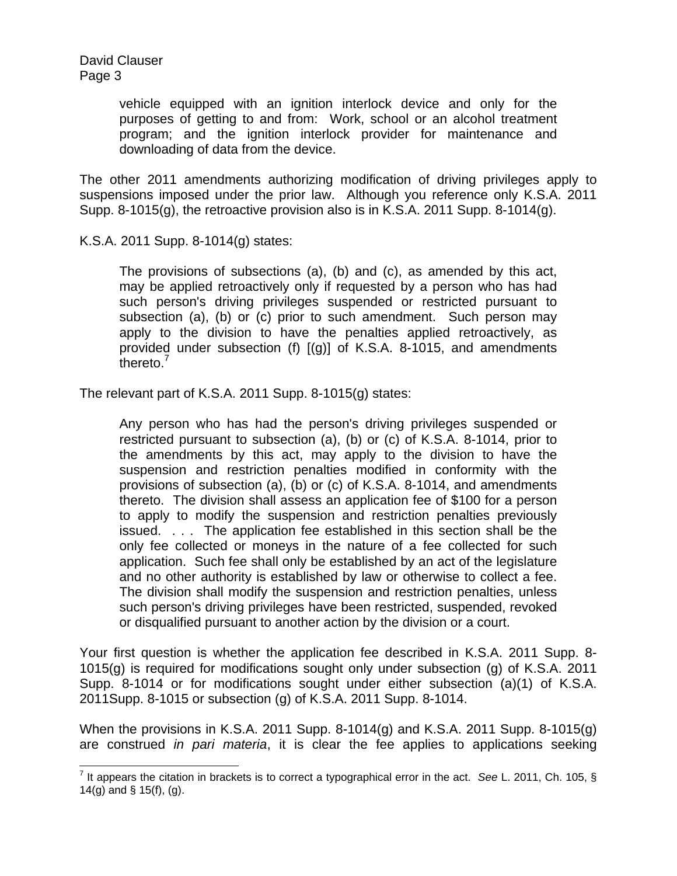> vehicle equipped with an ignition interlock device and only for the purposes of getting to and from: Work, school or an alcohol treatment program; and the ignition interlock provider for maintenance and downloading of data from the device.

The other 2011 amendments authorizing modification of driving privileges apply to suspensions imposed under the prior law. Although you reference only K.S.A. 2011 Supp. 8-1015(g), the retroactive provision also is in K.S.A. 2011 Supp. 8-1014(g).

K.S.A. 2011 Supp. 8-1014(g) states:

The provisions of subsections (a), (b) and (c), as amended by this act, may be applied retroactively only if requested by a person who has had such person's driving privileges suspended or restricted pursuant to subsection (a), (b) or (c) prior to such amendment. Such person may apply to the division to have the penalties applied retroactively, as provided under subsection (f) [(g)] of K.S.A. 8-1015, and amendments thereto.'

The relevant part of K.S.A. 2011 Supp. 8-1015(g) states:

Any person who has had the person's driving privileges suspended or restricted pursuant to subsection (a), (b) or (c) of K.S.A. 8-1014, prior to the amendments by this act, may apply to the division to have the suspension and restriction penalties modified in conformity with the provisions of subsection (a), (b) or (c) of K.S.A. 8-1014, and amendments thereto. The division shall assess an application fee of \$100 for a person to apply to modify the suspension and restriction penalties previously issued. . . . The application fee established in this section shall be the only fee collected or moneys in the nature of a fee collected for such application. Such fee shall only be established by an act of the legislature and no other authority is established by law or otherwise to collect a fee. The division shall modify the suspension and restriction penalties, unless such person's driving privileges have been restricted, suspended, revoked or disqualified pursuant to another action by the division or a court.

Your first question is whether the application fee described in K.S.A. 2011 Supp. 8- 1015(g) is required for modifications sought only under subsection (g) of K.S.A. 2011 Supp. 8-1014 or for modifications sought under either subsection (a)(1) of K.S.A. 2011Supp. 8-1015 or subsection (g) of K.S.A. 2011 Supp. 8-1014.

When the provisions in K.S.A. 2011 Supp. 8-1014(g) and K.S.A. 2011 Supp. 8-1015(g) are construed *in pari materia*, it is clear the fee applies to applications seeking

 7 It appears the citation in brackets is to correct a typographical error in the act. *See* L. 2011, Ch. 105, § 14(g) and § 15(f), (g).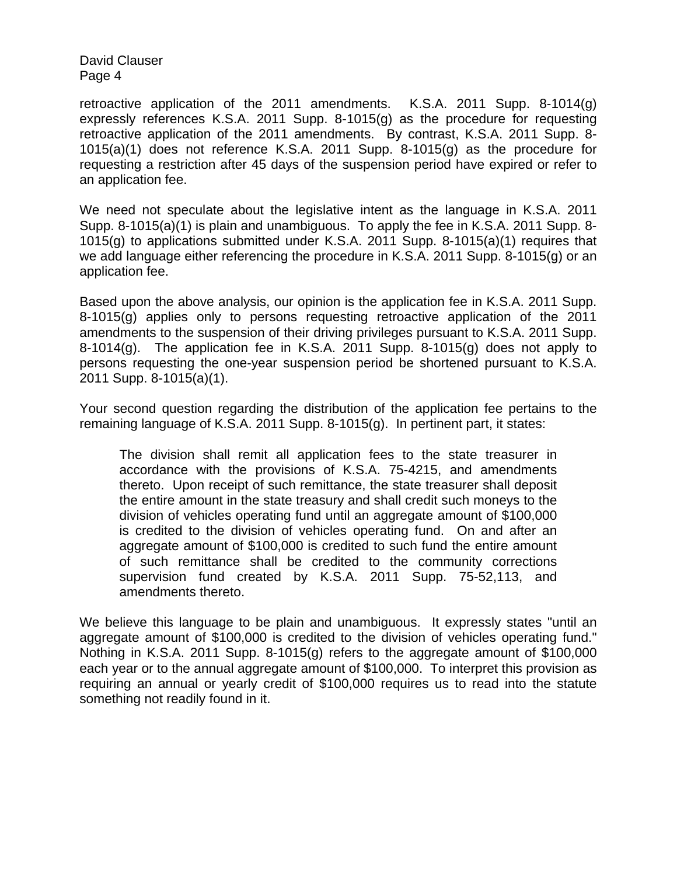retroactive application of the 2011 amendments. K.S.A. 2011 Supp. 8-1014(g) expressly references K.S.A. 2011 Supp. 8-1015(g) as the procedure for requesting retroactive application of the 2011 amendments. By contrast, K.S.A. 2011 Supp. 8- 1015(a)(1) does not reference K.S.A. 2011 Supp. 8-1015(g) as the procedure for requesting a restriction after 45 days of the suspension period have expired or refer to an application fee.

We need not speculate about the legislative intent as the language in K.S.A. 2011 Supp. 8-1015(a)(1) is plain and unambiguous. To apply the fee in K.S.A. 2011 Supp. 8- 1015(g) to applications submitted under K.S.A. 2011 Supp. 8-1015(a)(1) requires that we add language either referencing the procedure in K.S.A. 2011 Supp. 8-1015(g) or an application fee.

Based upon the above analysis, our opinion is the application fee in K.S.A. 2011 Supp. 8-1015(g) applies only to persons requesting retroactive application of the 2011 amendments to the suspension of their driving privileges pursuant to K.S.A. 2011 Supp. 8-1014(g). The application fee in K.S.A. 2011 Supp. 8-1015(g) does not apply to persons requesting the one-year suspension period be shortened pursuant to K.S.A. 2011 Supp. 8-1015(a)(1).

Your second question regarding the distribution of the application fee pertains to the remaining language of K.S.A. 2011 Supp. 8-1015(g). In pertinent part, it states:

The division shall remit all application fees to the state treasurer in accordance with the provisions of K.S.A. 75-4215, and amendments thereto. Upon receipt of such remittance, the state treasurer shall deposit the entire amount in the state treasury and shall credit such moneys to the division of vehicles operating fund until an aggregate amount of \$100,000 is credited to the division of vehicles operating fund. On and after an aggregate amount of \$100,000 is credited to such fund the entire amount of such remittance shall be credited to the community corrections supervision fund created by K.S.A. 2011 Supp. 75-52,113, and amendments thereto.

We believe this language to be plain and unambiguous. It expressly states "until an aggregate amount of \$100,000 is credited to the division of vehicles operating fund." Nothing in K.S.A. 2011 Supp. 8-1015(g) refers to the aggregate amount of \$100,000 each year or to the annual aggregate amount of \$100,000. To interpret this provision as requiring an annual or yearly credit of \$100,000 requires us to read into the statute something not readily found in it.